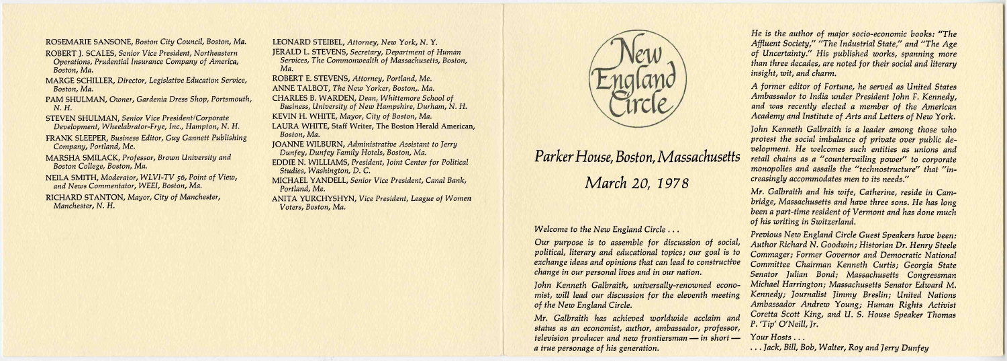ROSEMARIE SANSONE, *Boston City Council Boston, Ma.* 

ROBERT J. SCALES, *Senior Vice President, Northeastern Operations, Prudential Insurance Company of America, Boston, Ma.* 

MARGE SCHILLER, *Director, Legislative Education Service, Boston, Ma.* 

PAM SHULMAN, *Owner, Gardenia Dress Shop, Portsmouth, N. H.* 

STEVEN SHULMAN, *Senior Vice President/Corporate Development, Wheelabrator-Frye, Inc., Hampton, N. H.* 

FRANK SLEEPER, *Business Editor, Guy Gannett Publishing Company, Portland, Me.* 

- MARSHA SMILACK, *Professor, Brown University and Boston College, Boston, Ma.*
- NEILA SMITH, *Moderator, WLVI-TV 56, Point of View, and News Commentator, WEEI, Boston, Ma.*

RICHARD STANTON, *Mayor, City of Manchester, Manchester, N. H.* 

LEONARD STEIBEL, *Attorney, New York, N. Y.*  JERALD L. STEVENS, *Secretary, Department of Human Services, The Commonwealth of Massachusetts, Boston, Ma.* 

ROBERT E. STEVENS, *Attorney, Portland, Me.* 

ANNE TALBOT, *The New Yorker, Boston,. Ma.* 

CHARLES B. WARDEN, *Dean, Whittemore School of Business, University of New Hampshire, Durham, N. H.*  KEVIN H. WHITE, *Mayor, City of Boston, Ma.* 

LAURA WHITE, Staff Writer, The Boston Herald American, *Boston, Ma.* 

JOANNE WILBURN, *Administrative Assistant to Jerry Dunfey, Dunfey Family Hotels, Boston, Ma.* 

EDDIE N. WILLIAMS, *President, Joint Center for Political Studies, Washington, D. C.* 

MICHAEL YANDELL, *Senior Vice President, Canal Bank, Portland, Me.* 

ANITA YURCHYSHYN, *Vice President, League of Women Voters, Boston, Ma.* 



## *Parker House, Boston, Massachusetts March 20, 1978*

*Welcome to the New England Circle .. .* 

*Our purpose is to assemble for discussion of social, political, literary and educational topics; our goal is to exchange ideas and opinions that can lead to constructive change in our personal lives and in our nation. John Kenneth Galbraith, universally-renowned economist, will lead our discussion for the eleventh meeting of the New England Circle. Mr. Galbraith has achieved worldwide acclaim and* 

*status as an economist, author, ambassador, professor, television producer and new frontiersman — in short a true personage of his generation.* 

*He is the author of major socio-economic books: "The Affluent Society," "The Industrial State" and "The Age of Uncertainty." His published works, spanning more than three decades, are noted for their social and literary insight, wit, and charm.* 

*A former editor of Fortune, he served as United States Ambassador to India under President John F. Kennedy, and was recently elected a member of the American Academy and Institute of Arts and Letters of New York.* 

*John Kenneth Galbraith is a leader among those who protest the social imbalance of private over public development. He welcomes such entities as unions and retail chains as a "countervailing power" to corporate monopolies and assails the "technostructure" that "increasingly accommodates men to its needs."* 

*Mr. Galbraith and his wife, Catherine, reside in Cambridge, Massachusetts and have three sons. He has long been a part-time resident of Vermont and has done much of his writing in Switzerland.* 

*Previous New England Circle Guest Speakers have been: Author Richard N. Goodwin; Historian Dr. Henry Steele Commager; Former Governor and Democratic National Committee Chairman Kenneth Curtis; Georgia State Senator Julian Bond; Massachusetts Congressman Michael Harrington; Massachusetts Senator Edward M. Kennedy; Journalist Jimmy Breslin; United Nations Ambassador Andrew Young; Human Rights Activist Coretta Scott King, and U. S. House Speaker Thomas P. 'Tip' O'Neill, Jr.* 

*Your Hosts .. .* 

*... Jack, Bill, Bob, Walter, Roy and Jerry Dunfey*